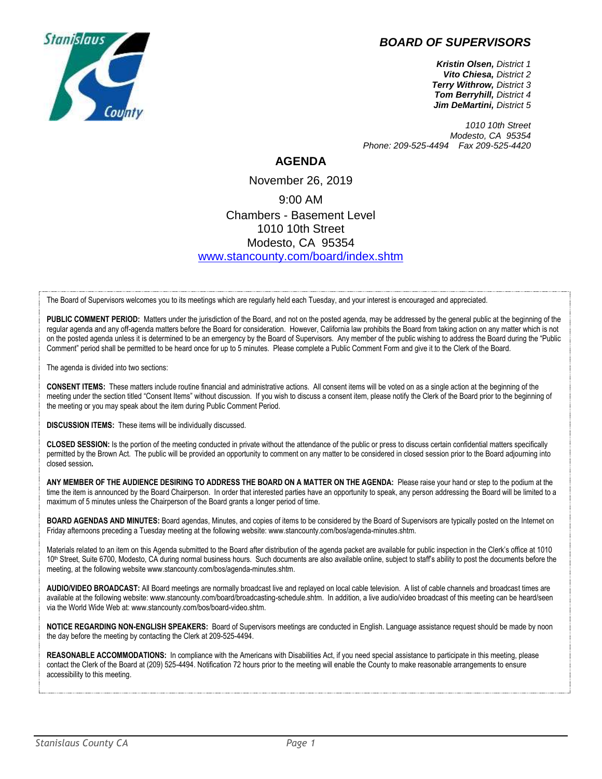## *BOARD OF SUPERVISORS*



*Kristin Olsen, District 1 Vito Chiesa, District 2 Terry Withrow, District 3 Tom Berryhill, District 4 Jim DeMartini, District 5*

*1010 10th Street Modesto, CA 95354 Phone: 209-525-4494 Fax 209-525-4420*

## **AGENDA**

November 26, 2019 9:00 AM Chambers - Basement Level 1010 10th Street Modesto, CA 95354 [www.stancounty.com/board/index.shtm](http://www.stancounty.com/board/index.shtm)

The Board of Supervisors welcomes you to its meetings which are regularly held each Tuesday, and your interest is encouraged and appreciated.

PUBLIC COMMENT PERIOD: Matters under the jurisdiction of the Board, and not on the posted agenda, may be addressed by the general public at the beginning of the regular agenda and any off-agenda matters before the Board for consideration. However, California law prohibits the Board from taking action on any matter which is not on the posted agenda unless it is determined to be an emergency by the Board of Supervisors. Any member of the public wishing to address the Board during the "Public Comment" period shall be permitted to be heard once for up to 5 minutes. Please complete a Public Comment Form and give it to the Clerk of the Board.

The agenda is divided into two sections:

**CONSENT ITEMS:** These matters include routine financial and administrative actions. All consent items will be voted on as a single action at the beginning of the meeting under the section titled "Consent Items" without discussion. If you wish to discuss a consent item, please notify the Clerk of the Board prior to the beginning of the meeting or you may speak about the item during Public Comment Period.

**DISCUSSION ITEMS:** These items will be individually discussed.

**CLOSED SESSION:** Is the portion of the meeting conducted in private without the attendance of the public or press to discuss certain confidential matters specifically permitted by the Brown Act. The public will be provided an opportunity to comment on any matter to be considered in closed session prior to the Board adjourning into closed session**.**

**ANY MEMBER OF THE AUDIENCE DESIRING TO ADDRESS THE BOARD ON A MATTER ON THE AGENDA:** Please raise your hand or step to the podium at the time the item is announced by the Board Chairperson. In order that interested parties have an opportunity to speak, any person addressing the Board will be limited to a maximum of 5 minutes unless the Chairperson of the Board grants a longer period of time.

**BOARD AGENDAS AND MINUTES:** Board agendas, Minutes, and copies of items to be considered by the Board of Supervisors are typically posted on the Internet on Friday afternoons preceding a Tuesday meeting at the following website: www.stancounty.com/bos/agenda-minutes.shtm.

Materials related to an item on this Agenda submitted to the Board after distribution of the agenda packet are available for public inspection in the Clerk's office at 1010 10<sup>th</sup> Street, Suite 6700, Modesto, CA during normal business hours. Such documents are also available online, subject to staff's ability to post the documents before the meeting, at the following website www.stancounty.com/bos/agenda-minutes.shtm.

**AUDIO/VIDEO BROADCAST:** All Board meetings are normally broadcast live and replayed on local cable television. A list of cable channels and broadcast times are available at the following website: www.stancounty.com/board/broadcasting-schedule.shtm. In addition, a live audio/video broadcast of this meeting can be heard/seen via the World Wide Web at: www.stancounty.com/bos/board-video.shtm.

**NOTICE REGARDING NON-ENGLISH SPEAKERS:** Board of Supervisors meetings are conducted in English. Language assistance request should be made by noon the day before the meeting by contacting the Clerk at 209-525-4494.

REASONABLE ACCOMMODATIONS: In compliance with the Americans with Disabilities Act, if you need special assistance to participate in this meeting, please contact the Clerk of the Board at (209) 525-4494. Notification 72 hours prior to the meeting will enable the County to make reasonable arrangements to ensure accessibility to this meeting.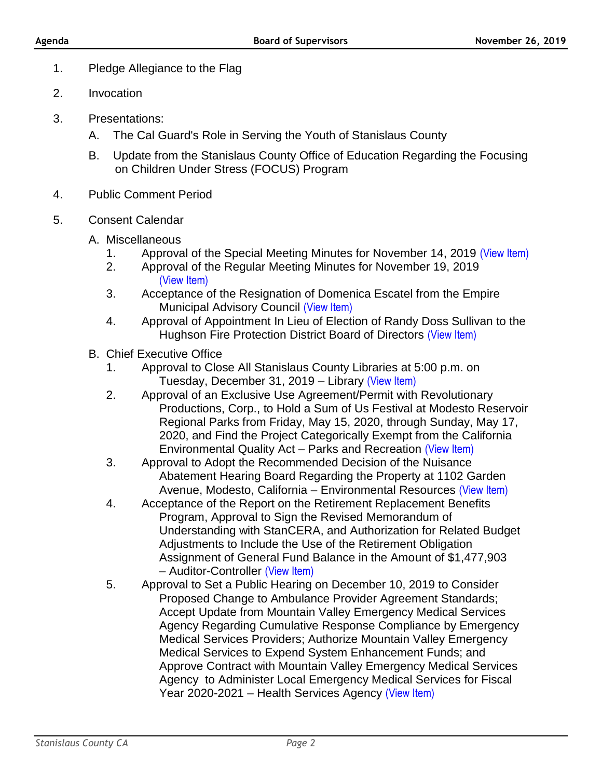- 1. Pledge Allegiance to the Flag
- 2. Invocation
- 3. Presentations:
	- A. The Cal Guard's Role in Serving the Youth of Stanislaus County
	- B. Update from the Stanislaus County Office of Education Regarding the Focusing on Children Under Stress (FOCUS) Program
- 4. Public Comment Period
- 5. Consent Calendar
	- A. Miscellaneous
		- 1. Approval of the Special Meeting Minutes for November 14, 2019 [\(View Item\)](http://www.stancounty.com/bos/minutes/2019/min11-14-19.pdf)
		- 2. Approval of the Regular Meeting Minutes for November 19, 2019 [\(View Item\)](http://www.stancounty.com/bos/minutes/2019/min11-19-19.pdf)
		- 3. Acceptance of the Resignation of Domenica Escatel from the Empire Municipal Advisory Council [\(View Item\)](http://www.stancounty.com/bos/agenda/2019/20191126/A03.pdf)
		- 4. Approval of Appointment In Lieu of Election of Randy Doss Sullivan to the Hughson Fire Protection District Board of Directors [\(View Item\)](http://www.stancounty.com/bos/agenda/2019/20191126/A04.pdf)
	- B. Chief Executive Office
		- 1. Approval to Close All Stanislaus County Libraries at 5:00 p.m. on Tuesday, December 31, 2019 – Library [\(View Item\)](http://www.stancounty.com/bos/agenda/2019/20191126/B01.pdf)
		- 2. Approval of an Exclusive Use Agreement/Permit with Revolutionary Productions, Corp., to Hold a Sum of Us Festival at Modesto Reservoir Regional Parks from Friday, May 15, 2020, through Sunday, May 17, 2020, and Find the Project Categorically Exempt from the California Environmental Quality Act – Parks and Recreation [\(View Item\)](http://www.stancounty.com/bos/agenda/2019/20191126/B02.pdf)
		- 3. Approval to Adopt the Recommended Decision of the Nuisance Abatement Hearing Board Regarding the Property at 1102 Garden Avenue, Modesto, California – Environmental Resources [\(View Item\)](http://www.stancounty.com/bos/agenda/2019/20191126/B03.pdf)
		- 4. Acceptance of the Report on the Retirement Replacement Benefits Program, Approval to Sign the Revised Memorandum of Understanding with StanCERA, and Authorization for Related Budget Adjustments to Include the Use of the Retirement Obligation Assignment of General Fund Balance in the Amount of \$1,477,903 – Auditor-Controller [\(View Item\)](http://www.stancounty.com/bos/agenda/2019/20191126/B04.pdf)
		- 5. Approval to Set a Public Hearing on December 10, 2019 to Consider Proposed Change to Ambulance Provider Agreement Standards; Accept Update from Mountain Valley Emergency Medical Services Agency Regarding Cumulative Response Compliance by Emergency Medical Services Providers; Authorize Mountain Valley Emergency Medical Services to Expend System Enhancement Funds; and Approve Contract with Mountain Valley Emergency Medical Services Agency to Administer Local Emergency Medical Services for Fiscal Year 2020-2021 – Health Services Agency [\(View Item\)](http://www.stancounty.com/bos/agenda/2019/20191126/B05.pdf)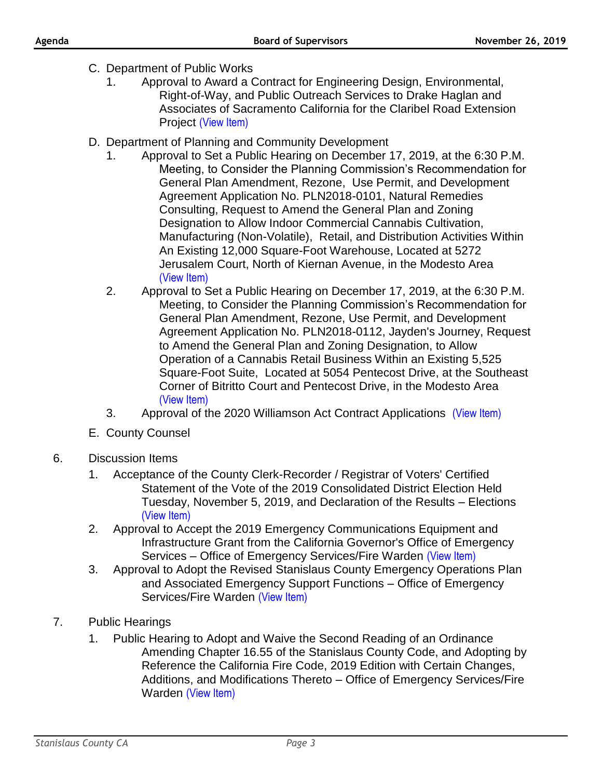- C. Department of Public Works
	- 1. Approval to Award a Contract for Engineering Design, Environmental, Right-of-Way, and Public Outreach Services to Drake Haglan and Associates of Sacramento California for the Claribel Road Extension Project [\(View Item\)](http://www.stancounty.com/bos/agenda/2019/20191126/C01.pdf)
- D. Department of Planning and Community Development
	- 1. Approval to Set a Public Hearing on December 17, 2019, at the 6:30 P.M. Meeting, to Consider the Planning Commission's Recommendation for General Plan Amendment, Rezone, Use Permit, and Development Agreement Application No. PLN2018-0101, Natural Remedies Consulting, Request to Amend the General Plan and Zoning Designation to Allow Indoor Commercial Cannabis Cultivation, Manufacturing (Non-Volatile), Retail, and Distribution Activities Within An Existing 12,000 Square-Foot Warehouse, Located at 5272 Jerusalem Court, North of Kiernan Avenue, in the Modesto Area [\(View Item\)](http://www.stancounty.com/bos/agenda/2019/20191126/D01.pdf)
	- 2. Approval to Set a Public Hearing on December 17, 2019, at the 6:30 P.M. Meeting, to Consider the Planning Commission's Recommendation for General Plan Amendment, Rezone, Use Permit, and Development Agreement Application No. PLN2018-0112, Jayden's Journey, Request to Amend the General Plan and Zoning Designation, to Allow Operation of a Cannabis Retail Business Within an Existing 5,525 Square-Foot Suite, Located at 5054 Pentecost Drive, at the Southeast Corner of Bitritto Court and Pentecost Drive, in the Modesto Area [\(View Item\)](http://www.stancounty.com/bos/agenda/2019/20191126/D02.pdf)
	- 3. Approval of the 2020 Williamson Act Contract Applications [\(View Item\)](http://www.stancounty.com/bos/agenda/2019/20191126/D03.pdf)
- E. County Counsel
- 6. Discussion Items
	- 1. Acceptance of the County Clerk-Recorder / Registrar of Voters' Certified Statement of the Vote of the 2019 Consolidated District Election Held Tuesday, November 5, 2019, and Declaration of the Results – Elections [\(View Item\)](http://www.stancounty.com/bos/agenda/2019/20191126/DIS01.pdf)
	- 2. Approval to Accept the 2019 Emergency Communications Equipment and Infrastructure Grant from the California Governor's Office of Emergency Services - Office of Emergency Services/Fire Warden [\(View Item\)](http://www.stancounty.com/bos/agenda/2019/20191126/DIS02.pdf)
	- 3. Approval to Adopt the Revised Stanislaus County Emergency Operations Plan and Associated Emergency Support Functions – Office of Emergency Services/Fire Warden [\(View Item\)](http://www.stancounty.com/bos/agenda/2019/20191126/DIS03.pdf)
- 7. Public Hearings
	- 1. Public Hearing to Adopt and Waive the Second Reading of an Ordinance Amending Chapter 16.55 of the Stanislaus County Code, and Adopting by Reference the California Fire Code, 2019 Edition with Certain Changes, Additions, and Modifications Thereto – Office of Emergency Services/Fire Warden [\(View Item\)](http://www.stancounty.com/bos/agenda/2019/20191126/PH01.pdf)